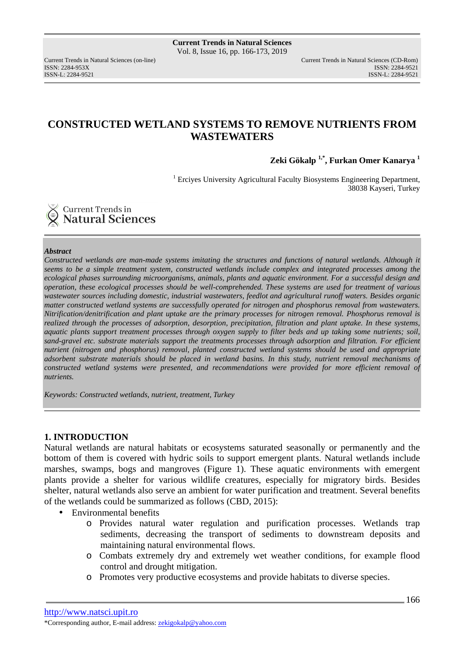Current Trends in Natural Sciences (on-line) Current Trends in Natural Sciences (CD-Rom) ISSN: 2284-953XISSN: 2284-9521 ISSN-L: 2284-9521

# **CONSTRUCTED WETLAND SYSTEMS TO REMOVE NUTRIENTS FROM WASTEWATERS**

**Zeki Gökalp 1,\*, Furkan Omer Kanarya <sup>1</sup>** 

<sup>1</sup> Erciyes University Agricultural Faculty Biosystems Engineering Department, 38038 Kayseri, Turkey

Current Trends in Natural Sciences

### *Abstract*

*Constructed wetlands are man-made systems imitating the structures and functions of natural wetlands. Although it seems to be a simple treatment system, constructed wetlands include complex and integrated processes among the ecological phases surrounding microorganisms, animals, plants and aquatic environment. For a successful design and operation, these ecological processes should be well-comprehended. These systems are used for treatment of various wastewater sources including domestic, industrial wastewaters, feedlot and agricultural runoff waters. Besides organic matter constructed wetland systems are successfully operated for nitrogen and phosphorus removal from wastewaters. Nitrification/denitrification and plant uptake are the primary processes for nitrogen removal. Phosphorus removal is realized through the processes of adsorption, desorption, precipitation, filtration and plant uptake. In these systems, aquatic plants support treatment processes through oxygen supply to filter beds and up taking some nutrients; soil, sand-gravel etc. substrate materials support the treatments processes through adsorption and filtration. For efficient nutrient (nitrogen and phosphorus) removal, planted constructed wetland systems should be used and appropriate adsorbent substrate materials should be placed in wetland basins. In this study, nutrient removal mechanisms of constructed wetland systems were presented, and recommendations were provided for more efficient removal of nutrients.* 

*Keywords: Constructed wetlands, nutrient, treatment, Turkey* 

## **1. INTRODUCTION**

Natural wetlands are natural habitats or ecosystems saturated seasonally or permanently and the bottom of them is covered with hydric soils to support emergent plants. Natural wetlands include marshes, swamps, bogs and mangroves (Figure 1). These aquatic environments with emergent plants provide a shelter for various wildlife creatures, especially for migratory birds. Besides shelter, natural wetlands also serve an ambient for water purification and treatment. Several benefits of the wetlands could be summarized as follows (CBD, 2015):

- Environmental benefits
	- o Provides natural water regulation and purification processes. Wetlands trap sediments, decreasing the transport of sediments to downstream deposits and maintaining natural environmental flows.
	- o Combats extremely dry and extremely wet weather conditions, for example flood control and drought mitigation.
	- o Promotes very productive ecosystems and provide habitats to diverse species.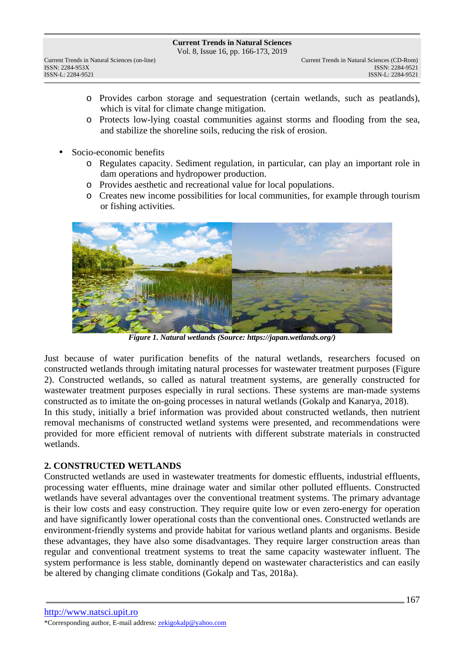Vol. 8, Issue 16, pp. 166-173, 2019

- o Provides carbon storage and sequestration (certain wetlands, such as peatlands), which is vital for climate change mitigation.
- o Protects low-lying coastal communities against storms and flooding from the sea, and stabilize the shoreline soils, reducing the risk of erosion.
- Socio-economic benefits
	- o Regulates capacity. Sediment regulation, in particular, can play an important role in dam operations and hydropower production.
	- o Provides aesthetic and recreational value for local populations.
	- o Creates new income possibilities for local communities, for example through tourism or fishing activities.



*Figure 1. Natural wetlands (Source: https://japan.wetlands.org/)* 

Just because of water purification benefits of the natural wetlands, researchers focused on constructed wetlands through imitating natural processes for wastewater treatment purposes (Figure 2). Constructed wetlands, so called as natural treatment systems, are generally constructed for wastewater treatment purposes especially in rural sections. These systems are man-made systems constructed as to imitate the on-going processes in natural wetlands (Gokalp and Kanarya, 2018). In this study, initially a brief information was provided about constructed wetlands, then nutrient

removal mechanisms of constructed wetland systems were presented, and recommendations were provided for more efficient removal of nutrients with different substrate materials in constructed wetlands.

# **2. CONSTRUCTED WETLANDS**

Constructed wetlands are used in wastewater treatments for domestic effluents, industrial effluents, processing water effluents, mine drainage water and similar other polluted effluents. Constructed wetlands have several advantages over the conventional treatment systems. The primary advantage is their low costs and easy construction. They require quite low or even zero-energy for operation and have significantly lower operational costs than the conventional ones. Constructed wetlands are environment-friendly systems and provide habitat for various wetland plants and organisms. Beside these advantages, they have also some disadvantages. They require larger construction areas than regular and conventional treatment systems to treat the same capacity wastewater influent. The system performance is less stable, dominantly depend on wastewater characteristics and can easily be altered by changing climate conditions (Gokalp and Tas, 2018a).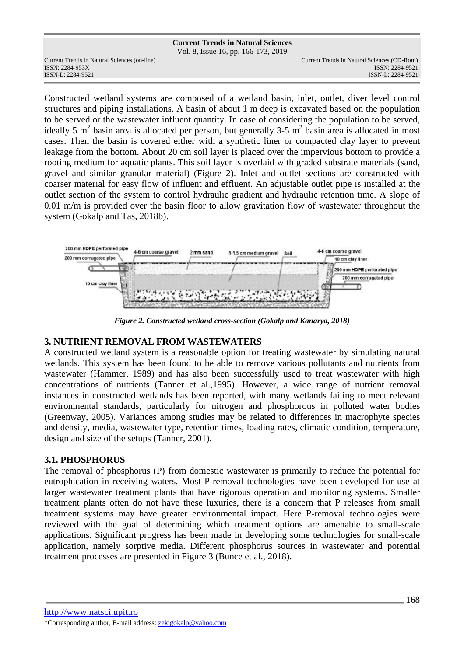### **Current Trends in Natural Sciences** Vol. 8, Issue 16, pp. 166-173, 2019 Current Trends in Natural Sciences (on-line) Current Trends in Natural Sciences (CD-Rom) ISSN: 2284-953XISSN: 2284-9521 ISSN-L: 2284-9521

Constructed wetland systems are composed of a wetland basin, inlet, outlet, diver level control structures and piping installations. A basin of about 1 m deep is excavated based on the population to be served or the wastewater influent quantity. In case of considering the population to be served, ideally 5 m<sup>2</sup> basin area is allocated per person, but generally 3-5 m<sup>2</sup> basin area is allocated in most cases. Then the basin is covered either with a synthetic liner or compacted clay layer to prevent leakage from the bottom. About 20 cm soil layer is placed over the impervious bottom to provide a rooting medium for aquatic plants. This soil layer is overlaid with graded substrate materials (sand, gravel and similar granular material) (Figure 2). Inlet and outlet sections are constructed with coarser material for easy flow of influent and effluent. An adjustable outlet pipe is installed at the outlet section of the system to control hydraulic gradient and hydraulic retention time. A slope of 0.01 m/m is provided over the basin floor to allow gravitation flow of wastewater throughout the system (Gokalp and Tas, 2018b).



*Figure 2. Constructed wetland cross-section (Gokalp and Kanarya, 2018)* 

# **3. NUTRIENT REMOVAL FROM WASTEWATERS**

A constructed wetland system is a reasonable option for treating wastewater by simulating natural wetlands. This system has been found to be able to remove various pollutants and nutrients from wastewater (Hammer, 1989) and has also been successfully used to treat wastewater with high concentrations of nutrients (Tanner et al.,1995). However, a wide range of nutrient removal instances in constructed wetlands has been reported, with many wetlands failing to meet relevant environmental standards, particularly for nitrogen and phosphorous in polluted water bodies (Greenway, 2005). Variances among studies may be related to differences in macrophyte species and density, media, wastewater type, retention times, loading rates, climatic condition, temperature, design and size of the setups (Tanner, 2001).

# **3.1. PHOSPHORUS**

The removal of phosphorus (P) from domestic wastewater is primarily to reduce the potential for eutrophication in receiving waters. Most P-removal technologies have been developed for use at larger wastewater treatment plants that have rigorous operation and monitoring systems. Smaller treatment plants often do not have these luxuries, there is a concern that P releases from small treatment systems may have greater environmental impact. Here P-removal technologies were reviewed with the goal of determining which treatment options are amenable to small-scale applications. Significant progress has been made in developing some technologies for small-scale application, namely sorptive media. Different phosphorus sources in wastewater and potential treatment processes are presented in Figure 3 (Bunce et al., 2018).

http://www.natsci.upit.ro \*Corresponding author, E-mail address: zekigokalp@yahoo.com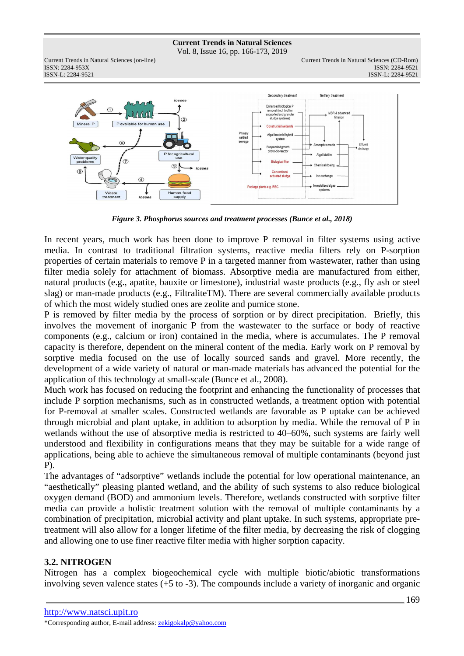Vol. 8, Issue 16, pp. 166-173, 2019

Current Trends in Natural Sciences (on-line) Current Trends in Natural Sciences (CD-Rom) ISSN: 2284-953XISSN: 2284-9521 ISSN-L: 2284-9521 ISSN-L: 2284-9521



*Figure 3. Phosphorus sources and treatment processes (Bunce et al., 2018)* 

In recent years, much work has been done to improve P removal in filter systems using active media. In contrast to traditional filtration systems, reactive media filters rely on P-sorption properties of certain materials to remove P in a targeted manner from wastewater, rather than using filter media solely for attachment of biomass. Absorptive media are manufactured from either, natural products (e.g., apatite, bauxite or limestone), industrial waste products (e.g., fly ash or steel slag) or man-made products (e.g., FiltraliteTM). There are several commercially available products of which the most widely studied ones are zeolite and pumice stone.

P is removed by filter media by the process of sorption or by direct precipitation. Briefly, this involves the movement of inorganic P from the wastewater to the surface or body of reactive components (e.g., calcium or iron) contained in the media, where is accumulates. The P removal capacity is therefore, dependent on the mineral content of the media. Early work on P removal by sorptive media focused on the use of locally sourced sands and gravel. More recently, the development of a wide variety of natural or man-made materials has advanced the potential for the application of this technology at small-scale (Bunce et al., 2008).

Much work has focused on reducing the footprint and enhancing the functionality of processes that include P sorption mechanisms, such as in constructed wetlands, a treatment option with potential for P-removal at smaller scales. Constructed wetlands are favorable as P uptake can be achieved through microbial and plant uptake, in addition to adsorption by media. While the removal of P in wetlands without the use of absorptive media is restricted to 40–60%, such systems are fairly well understood and flexibility in configurations means that they may be suitable for a wide range of applications, being able to achieve the simultaneous removal of multiple contaminants (beyond just P).

The advantages of "adsorptive" wetlands include the potential for low operational maintenance, an "aesthetically" pleasing planted wetland, and the ability of such systems to also reduce biological oxygen demand (BOD) and ammonium levels. Therefore, wetlands constructed with sorptive filter media can provide a holistic treatment solution with the removal of multiple contaminants by a combination of precipitation, microbial activity and plant uptake. In such systems, appropriate pretreatment will also allow for a longer lifetime of the filter media, by decreasing the risk of clogging and allowing one to use finer reactive filter media with higher sorption capacity.

# **3.2. NITROGEN**

Nitrogen has a complex biogeochemical cycle with multiple biotic/abiotic transformations involving seven valence states (+5 to -3). The compounds include a variety of inorganic and organic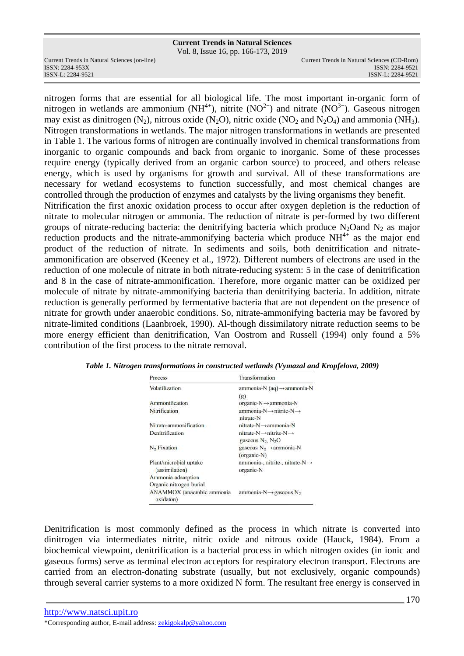Vol. 8, Issue 16, pp. 166-173, 2019

ISSN: 2284-953XISSN: 2284-9521

nitrogen forms that are essential for all biological life. The most important in-organic form of nitrogen in wetlands are ammonium (NH<sup>4+</sup>), nitrite (NO<sup>2−</sup>) and nitrate (NO<sup>3−</sup>). Gaseous nitrogen may exist as dinitrogen  $(N_2)$ , nitrous oxide  $(N_2O)$ , nitric oxide  $NO_2$  and  $N_2O_4$ ) and ammonia  $(NH_3)$ . Nitrogen transformations in wetlands. The major nitrogen transformations in wetlands are presented in Table 1. The various forms of nitrogen are continually involved in chemical transformations from inorganic to organic compounds and back from organic to inorganic. Some of these processes require energy (typically derived from an organic carbon source) to proceed, and others release energy, which is used by organisms for growth and survival. All of these transformations are necessary for wetland ecosystems to function successfully, and most chemical changes are controlled through the production of enzymes and catalysts by the living organisms they benefit. Nitrification the first anoxic oxidation process to occur after oxygen depletion is the reduction of nitrate to molecular nitrogen or ammonia. The reduction of nitrate is per-formed by two different groups of nitrate-reducing bacteria: the denitrifying bacteria which produce  $N_2O$ and  $N_2$  as major reduction products and the nitrate-ammonifying bacteria which produce  $NH<sup>4+</sup>$  as the major end product of the reduction of nitrate. In sediments and soils, both denitrification and nitrateammonification are observed (Keeney et al., 1972). Different numbers of electrons are used in the reduction of one molecule of nitrate in both nitrate-reducing system: 5 in the case of denitrification and 8 in the case of nitrate-ammonification. Therefore, more organic matter can be oxidized per molecule of nitrate by nitrate-ammonifying bacteria than denitrifying bacteria. In addition, nitrate reduction is generally performed by fermentative bacteria that are not dependent on the presence of nitrate for growth under anaerobic conditions. So, nitrate-ammonifying bacteria may be favored by nitrate-limited conditions (Laanbroek, 1990). Al-though dissimilatory nitrate reduction seems to be more energy efficient than denitrification, Van Oostrom and Russell (1994) only found a 5% contribution of the first process to the nitrate removal.

| <b>Process</b>                          | Transformation                                 |
|-----------------------------------------|------------------------------------------------|
| Volatilization                          | ammonia-N (aq) → ammonia-N                     |
|                                         | (g)                                            |
| Ammonification                          | organic-N → ammonia-N                          |
| Nitrification                           | $ammonia-N \rightarrow nitrite-N \rightarrow$  |
|                                         | nitrate-N                                      |
| Nitrate-ammonification                  | $nitrate-N \rightarrow ammonia-N$              |
| Denitrification                         | $nitrate-N \rightarrow nitrite-N \rightarrow$  |
|                                         | gaseous $N_2$ , $N_2$ O                        |
| N <sub>2</sub> Fixation                 | gaseous $N_2 \rightarrow$ ammonia-N            |
|                                         | (organic-N)                                    |
| Plant/microbial uptake                  | ammonia-, nitrite-, nitrate-N→                 |
| (assimilation)                          | organic-N                                      |
| Ammonia adsorption                      |                                                |
| Organic nitrogen burial                 |                                                |
| ANAMMOX (anacrobic ammonia<br>oxidaton) | ammonia-N $\rightarrow$ gaseous N <sub>2</sub> |

*Table 1. Nitrogen transformations in constructed wetlands (Vymazal and Kropfelova, 2009)* 

Denitrification is most commonly defined as the process in which nitrate is converted into dinitrogen via intermediates nitrite, nitric oxide and nitrous oxide (Hauck, 1984). From a biochemical viewpoint, denitrification is a bacterial process in which nitrogen oxides (in ionic and gaseous forms) serve as terminal electron acceptors for respiratory electron transport. Electrons are carried from an electron-donating substrate (usually, but not exclusively, organic compounds) through several carrier systems to a more oxidized N form. The resultant free energy is conserved in

http://www.natsci.upit.ro \*Corresponding author, E-mail address: zekigokalp@yahoo.com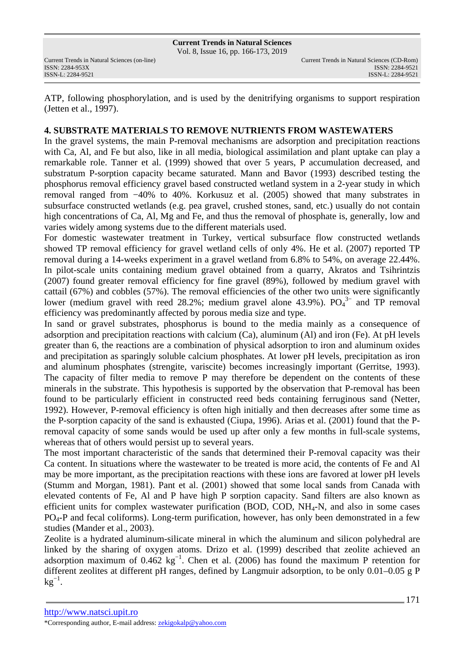ATP, following phosphorylation, and is used by the denitrifying organisms to support respiration (Jetten et al., 1997).

## **4. SUBSTRATE MATERIALS TO REMOVE NUTRIENTS FROM WASTEWATERS**

In the gravel systems, the main P-removal mechanisms are adsorption and precipitation reactions with Ca, Al, and Fe but also, like in all media, biological assimilation and plant uptake can play a remarkable role. Tanner et al. (1999) showed that over 5 years, P accumulation decreased, and substratum P-sorption capacity became saturated. Mann and Bavor (1993) described testing the phosphorus removal efficiency gravel based constructed wetland system in a 2-year study in which removal ranged from −40% to 40%. Korkusuz et al. (2005) showed that many substrates in subsurface constructed wetlands (e.g. pea gravel, crushed stones, sand, etc.) usually do not contain high concentrations of Ca, Al, Mg and Fe, and thus the removal of phosphate is, generally, low and varies widely among systems due to the different materials used.

For domestic wastewater treatment in Turkey, vertical subsurface flow constructed wetlands showed TP removal efficiency for gravel wetland cells of only 4%. He et al. (2007) reported TP removal during a 14-weeks experiment in a gravel wetland from 6.8% to 54%, on average 22.44%. In pilot-scale units containing medium gravel obtained from a quarry, Akratos and Tsihrintzis (2007) found greater removal efficiency for fine gravel (89%), followed by medium gravel with cattail (67%) and cobbles (57%). The removal efficiencies of the other two units were significantly lower (medium gravel with reed 28.2%; medium gravel alone 43.9%).  $PO<sub>4</sub><sup>3-</sup>$  and TP removal efficiency was predominantly affected by porous media size and type.

In sand or gravel substrates, phosphorus is bound to the media mainly as a consequence of adsorption and precipitation reactions with calcium (Ca), aluminum (Al) and iron (Fe). At pH levels greater than 6, the reactions are a combination of physical adsorption to iron and aluminum oxides and precipitation as sparingly soluble calcium phosphates. At lower pH levels, precipitation as iron and aluminum phosphates (strengite, variscite) becomes increasingly important (Gerritse, 1993). The capacity of filter media to remove P may therefore be dependent on the contents of these minerals in the substrate. This hypothesis is supported by the observation that P-removal has been found to be particularly efficient in constructed reed beds containing ferruginous sand (Netter, 1992). However, P-removal efficiency is often high initially and then decreases after some time as the P-sorption capacity of the sand is exhausted (Ciupa, 1996). Arias et al. (2001) found that the Premoval capacity of some sands would be used up after only a few months in full-scale systems, whereas that of others would persist up to several years.

The most important characteristic of the sands that determined their P-removal capacity was their Ca content. In situations where the wastewater to be treated is more acid, the contents of Fe and Al may be more important, as the precipitation reactions with these ions are favored at lower pH levels (Stumm and Morgan, 1981). Pant et al. (2001) showed that some local sands from Canada with elevated contents of Fe, Al and P have high P sorption capacity. Sand filters are also known as efficient units for complex wastewater purification (BOD, COD, NH4-N, and also in some cases  $PQ_4-P$  and fecal coliforms). Long-term purification, however, has only been demonstrated in a few studies (Mander et al., 2003).

Zeolite is a hydrated aluminum-silicate mineral in which the aluminum and silicon polyhedral are linked by the sharing of oxygen atoms. Drizo et al. (1999) described that zeolite achieved an adsorption maximum of 0.462 kg<sup>-1</sup>. Chen et al. (2006) has found the maximum P retention for different zeolites at different pH ranges, defined by Langmuir adsorption, to be only 0.01–0.05 g P  $kg^{-1}$ .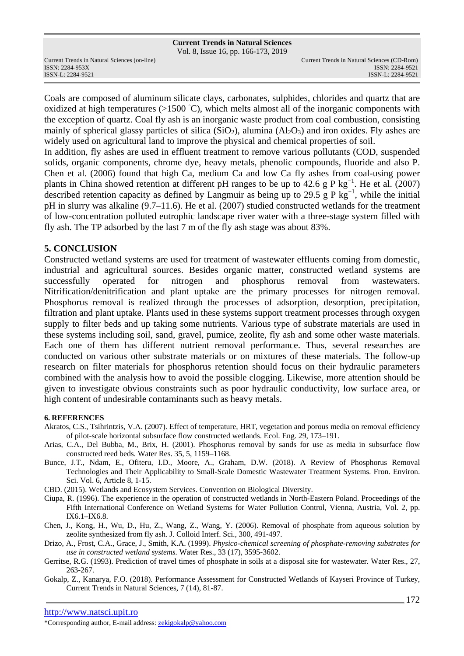Vol. 8, Issue 16, pp. 166-173, 2019

ISSN: 2284-953XISSN: 2284-9521

Coals are composed of aluminum silicate clays, carbonates, sulphides, chlorides and quartz that are oxidized at high temperatures ( $>1500$  °C), which melts almost all of the inorganic components with the exception of quartz. Coal fly ash is an inorganic waste product from coal combustion, consisting mainly of spherical glassy particles of silica  $(SiO<sub>2</sub>)$ , alumina  $(A<sub>2</sub>O<sub>3</sub>)$  and iron oxides. Fly ashes are widely used on agricultural land to improve the physical and chemical properties of soil.

In addition, fly ashes are used in effluent treatment to remove various pollutants (COD, suspended solids, organic components, chrome dye, heavy metals, phenolic compounds, fluoride and also P. Chen et al. (2006) found that high Ca, medium Ca and low Ca fly ashes from coal-using power plants in China showed retention at different pH ranges to be up to 42.6 g P kg<sup>-1</sup>. He et al. (2007) described retention capacity as defined by Langmuir as being up to 29.5 g P kg<sup>-1</sup>, while the initial pH in slurry was alkaline (9.7–11.6). He et al. (2007) studied constructed wetlands for the treatment of low-concentration polluted eutrophic landscape river water with a three-stage system filled with fly ash. The TP adsorbed by the last 7 m of the fly ash stage was about 83%.

## **5. CONCLUSION**

Constructed wetland systems are used for treatment of wastewater effluents coming from domestic, industrial and agricultural sources. Besides organic matter, constructed wetland systems are successfully operated for nitrogen and phosphorus removal from wastewaters. Nitrification/denitrification and plant uptake are the primary processes for nitrogen removal. Phosphorus removal is realized through the processes of adsorption, desorption, precipitation, filtration and plant uptake. Plants used in these systems support treatment processes through oxygen supply to filter beds and up taking some nutrients. Various type of substrate materials are used in these systems including soil, sand, gravel, pumice, zeolite, fly ash and some other waste materials. Each one of them has different nutrient removal performance. Thus, several researches are conducted on various other substrate materials or on mixtures of these materials. The follow-up research on filter materials for phosphorus retention should focus on their hydraulic parameters combined with the analysis how to avoid the possible clogging. Likewise, more attention should be given to investigate obvious constraints such as poor hydraulic conductivity, low surface area, or high content of undesirable contaminants such as heavy metals.

## **6. REFERENCES**

- Akratos, C.S., Tsihrintzis, V.A. (2007). Effect of temperature, HRT, vegetation and porous media on removal efficiency of pilot-scale horizontal subsurface flow constructed wetlands. Ecol. Eng. 29, 173–191.
- Arias, C.A., Del Bubba, M., Brix, H. (2001). Phosphorus removal by sands for use as media in subsurface flow constructed reed beds. Water Res. 35, 5, 1159–1168.
- Bunce, J.T., Ndam, E., Ofiteru, I.D., Moore, A., Graham, D.W. (2018). A Review of Phosphorus Removal Technologies and Their Applicability to Small-Scale Domestic Wastewater Treatment Systems. Fron. Environ. Sci. Vol. 6, Article 8, 1-15.
- CBD. (2015). Wetlands and Ecosystem Services. Convention on Biological Diversity.
- Ciupa, R. (1996). The experience in the operation of constructed wetlands in North-Eastern Poland. Proceedings of the Fifth International Conference on Wetland Systems for Water Pollution Control, Vienna, Austria, Vol. 2, pp. IX6.1–IX6.8.
- Chen, J., Kong, H., Wu, D., Hu, Z., Wang, Z., Wang, Y. (2006). Removal of phosphate from aqueous solution by zeolite synthesized from fly ash. J. Colloid Interf. Sci., 300, 491-497.
- Drizo, A., Frost, C.A., Grace, J., Smith, K.A. (1999). *Physico-chemical screening of phosphate-removing substrates for use in constructed wetland systems.* Water Res., 33 (17), 3595-3602.
- Gerritse, R.G. (1993). Prediction of travel times of phosphate in soils at a disposal site for wastewater. Water Res., 27, 263-267.
- Gokalp, Z., Kanarya, F.O. (2018). Performance Assessment for Constructed Wetlands of Kayseri Province of Turkey, Current Trends in Natural Sciences, 7 (14), 81-87.

\*Corresponding author, E-mail address: zekigokalp@yahoo.com